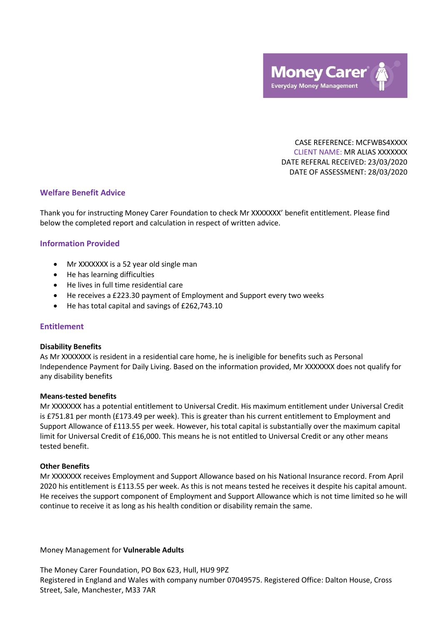

CASE REFERENCE: MCFWBS4XXXX CLIENT NAME: MR ALIAS XXXXXXX DATE REFERAL RECEIVED: 23/03/2020 DATE OF ASSESSMENT: 28/03/2020

# **Welfare Benefit Advice**

Thank you for instructing Money Carer Foundation to check Mr XXXXXXX' benefit entitlement. Please find below the completed report and calculation in respect of written advice.

# **Information Provided**

- Mr XXXXXXX is a 52 year old single man
- He has learning difficulties
- He lives in full time residential care
- He receives a £223.30 payment of Employment and Support every two weeks
- He has total capital and savings of £262,743.10

# **Entitlement**

# **Disability Benefits**

As Mr XXXXXXX is resident in a residential care home, he is ineligible for benefits such as Personal Independence Payment for Daily Living. Based on the information provided, Mr XXXXXXX does not qualify for any disability benefits

# **Means-tested benefits**

Mr XXXXXXX has a potential entitlement to Universal Credit. His maximum entitlement under Universal Credit is £751.81 per month (£173.49 per week). This is greater than his current entitlement to Employment and Support Allowance of £113.55 per week. However, his total capital is substantially over the maximum capital limit for Universal Credit of £16,000. This means he is not entitled to Universal Credit or any other means tested benefit.

# **Other Benefits**

Mr XXXXXXX receives Employment and Support Allowance based on his National Insurance record. From April 2020 his entitlement is £113.55 per week. As this is not means tested he receives it despite his capital amount. He receives the support component of Employment and Support Allowance which is not time limited so he will continue to receive it as long as his health condition or disability remain the same.

# Money Management for **Vulnerable Adults**

The Money Carer Foundation, PO Box 623, Hull, HU9 9PZ Registered in England and Wales with company number 07049575. Registered Office: Dalton House, Cross Street, Sale, Manchester, M33 7AR